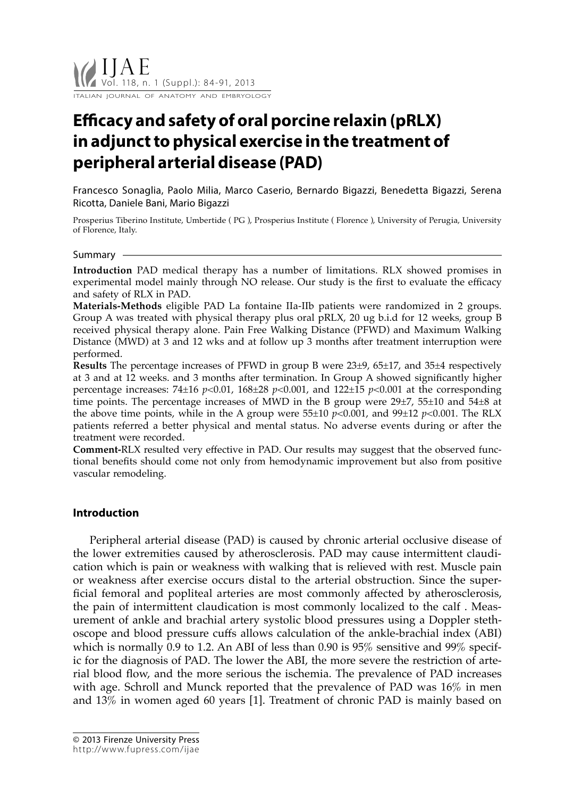# **Efficacy and safety of oral porcine relaxin (pRLX) in adjunct to physical exercise in the treatment of peripheral arterial disease (PAD)**

Francesco Sonaglia, Paolo Milia, Marco Caserio, Bernardo Bigazzi, Benedetta Bigazzi, Serena Ricotta, Daniele Bani, Mario Bigazzi

Prosperius Tiberino Institute, Umbertide ( PG ), Prosperius Institute ( Florence ), University of Perugia, University of Florence, Italy.

#### Summary

**Introduction** PAD medical therapy has a number of limitations. RLX showed promises in experimental model mainly through NO release. Our study is the first to evaluate the efficacy and safety of RLX in PAD.

**Materials-Methods** eligible PAD La fontaine IIa-IIb patients were randomized in 2 groups. Group A was treated with physical therapy plus oral pRLX, 20 ug b.i.d for 12 weeks, group B received physical therapy alone. Pain Free Walking Distance (PFWD) and Maximum Walking Distance (MWD) at 3 and 12 wks and at follow up 3 months after treatment interruption were performed.

**Results** The percentage increases of PFWD in group B were 23±9, 65±17, and 35±4 respectively at 3 and at 12 weeks. and 3 months after termination. In Group A showed significantly higher percentage increases: 74±16 *p*<0.01, 168±28 *p*<0.001, and 122±15 *p*<0.001 at the corresponding time points. The percentage increases of MWD in the B group were 29±7, 55±10 and 54±8 at the above time points, while in the A group were  $55\pm10$  *p*<0.001, and  $99\pm12$  *p*<0.001. The RLX patients referred a better physical and mental status. No adverse events during or after the treatment were recorded.

**Comment-**RLX resulted very effective in PAD. Our results may suggest that the observed functional benefits should come not only from hemodynamic improvement but also from positive vascular remodeling.

# **Introduction**

Peripheral arterial disease (PAD) is caused by chronic arterial occlusive disease of the lower extremities caused by atherosclerosis. PAD may cause intermittent claudication which is pain or weakness with walking that is relieved with rest. Muscle pain or weakness after exercise occurs distal to the arterial obstruction. Since the superficial femoral and popliteal arteries are most commonly affected by atherosclerosis, the pain of intermittent claudication is most commonly localized to the calf . Measurement of ankle and brachial artery systolic blood pressures using a Doppler stethoscope and blood pressure cuffs allows calculation of the ankle-brachial index (ABI) which is normally 0.9 to 1.2. An ABI of less than 0.90 is 95% sensitive and 99% specific for the diagnosis of PAD. The lower the ABI, the more severe the restriction of arterial blood flow, and the more serious the ischemia. The prevalence of PAD increases with age. Schroll and Munck reported that the prevalence of PAD was 16% in men and 13% in women aged 60 years [1]. Treatment of chronic PAD is mainly based on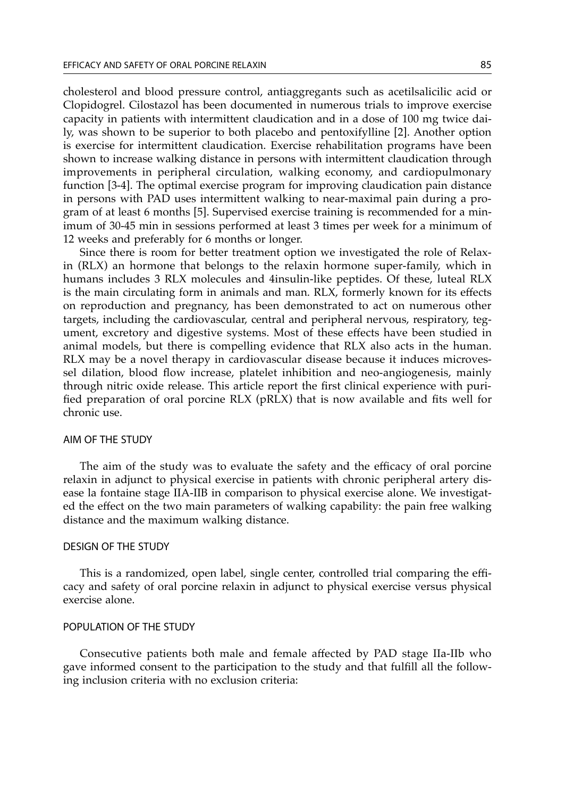cholesterol and blood pressure control, antiaggregants such as acetilsalicilic acid or Clopidogrel. Cilostazol has been documented in numerous trials to improve exercise capacity in patients with intermittent claudication and in a dose of 100 mg twice daily, was shown to be superior to both placebo and pentoxifylline [2]. Another option is exercise for intermittent claudication. Exercise rehabilitation programs have been shown to increase walking distance in persons with intermittent claudication through improvements in peripheral circulation, walking economy, and cardiopulmonary function [3-4]. The optimal exercise program for improving claudication pain distance in persons with PAD uses intermittent walking to near-maximal pain during a program of at least 6 months [5]. Supervised exercise training is recommended for a minimum of 30-45 min in sessions performed at least 3 times per week for a minimum of 12 weeks and preferably for 6 months or longer.

Since there is room for better treatment option we investigated the role of Relaxin (RLX) an hormone that belongs to the relaxin hormone super-family, which in humans includes 3 RLX molecules and 4insulin-like peptides. Of these, luteal RLX is the main circulating form in animals and man. RLX, formerly known for its effects on reproduction and pregnancy, has been demonstrated to act on numerous other targets, including the cardiovascular, central and peripheral nervous, respiratory, tegument, excretory and digestive systems. Most of these effects have been studied in animal models, but there is compelling evidence that RLX also acts in the human. RLX may be a novel therapy in cardiovascular disease because it induces microvessel dilation, blood flow increase, platelet inhibition and neo-angiogenesis, mainly through nitric oxide release. This article report the first clinical experience with purified preparation of oral porcine RLX (pRLX) that is now available and fits well for chronic use.

## AIM OF THE STUDY

The aim of the study was to evaluate the safety and the efficacy of oral porcine relaxin in adjunct to physical exercise in patients with chronic peripheral artery disease la fontaine stage IIA-IIB in comparison to physical exercise alone. We investigated the effect on the two main parameters of walking capability: the pain free walking distance and the maximum walking distance.

## DESIGN OF THE STUDY

This is a randomized, open label, single center, controlled trial comparing the efficacy and safety of oral porcine relaxin in adjunct to physical exercise versus physical exercise alone.

## POPULATION OF THE STUDY

Consecutive patients both male and female affected by PAD stage IIa-IIb who gave informed consent to the participation to the study and that fulfill all the following inclusion criteria with no exclusion criteria: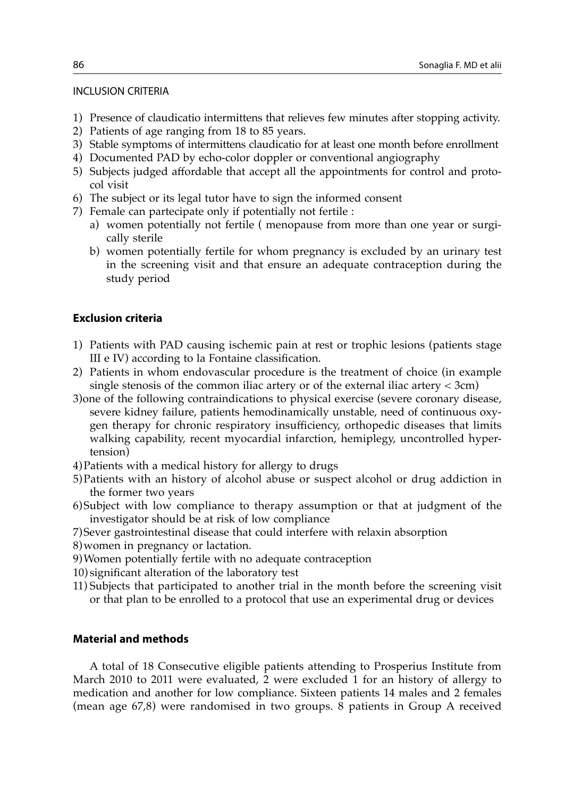## INCLUSION CRITERIA

- 1) Presence of claudicatio intermittens that relieves few minutes after stopping activity.
- 2) Patients of age ranging from 18 to 85 years.
- 3) Stable symptoms of intermittens claudicatio for at least one month before enrollment
- 4) Documented PAD by echo-color doppler or conventional angiography
- 5) Subjects judged affordable that accept all the appointments for control and protocol visit
- 6) The subject or its legal tutor have to sign the informed consent
- 7) Female can partecipate only if potentially not fertile :
	- a) women potentially not fertile ( menopause from more than one year or surgically sterile
	- b) women potentially fertile for whom pregnancy is excluded by an urinary test in the screening visit and that ensure an adequate contraception during the study period

# **Exclusion criteria**

- 1) Patients with PAD causing ischemic pain at rest or trophic lesions (patients stage III e IV) according to la Fontaine classification.
- 2) Patients in whom endovascular procedure is the treatment of choice (in example single stenosis of the common iliac artery or of the external iliac artery  $<$  3cm)
- 3)one of the following contraindications to physical exercise (severe coronary disease, severe kidney failure, patients hemodinamically unstable, need of continuous oxygen therapy for chronic respiratory insufficiency, orthopedic diseases that limits walking capability, recent myocardial infarction, hemiplegy, uncontrolled hypertension)
- 4)Patients with a medical history for allergy to drugs
- 5)Patients with an history of alcohol abuse or suspect alcohol or drug addiction in the former two years
- 6)Subject with low compliance to therapy assumption or that at judgment of the investigator should be at risk of low compliance
- 7)Sever gastrointestinal disease that could interfere with relaxin absorption
- 8)women in pregnancy or lactation.
- 9)Women potentially fertile with no adequate contraception
- 10) significant alteration of the laboratory test
- 11) Subjects that participated to another trial in the month before the screening visit or that plan to be enrolled to a protocol that use an experimental drug or devices

# **Material and methods**

A total of 18 Consecutive eligible patients attending to Prosperius Institute from March 2010 to 2011 were evaluated, 2 were excluded 1 for an history of allergy to medication and another for low compliance. Sixteen patients 14 males and 2 females (mean age 67,8) were randomised in two groups. 8 patients in Group A received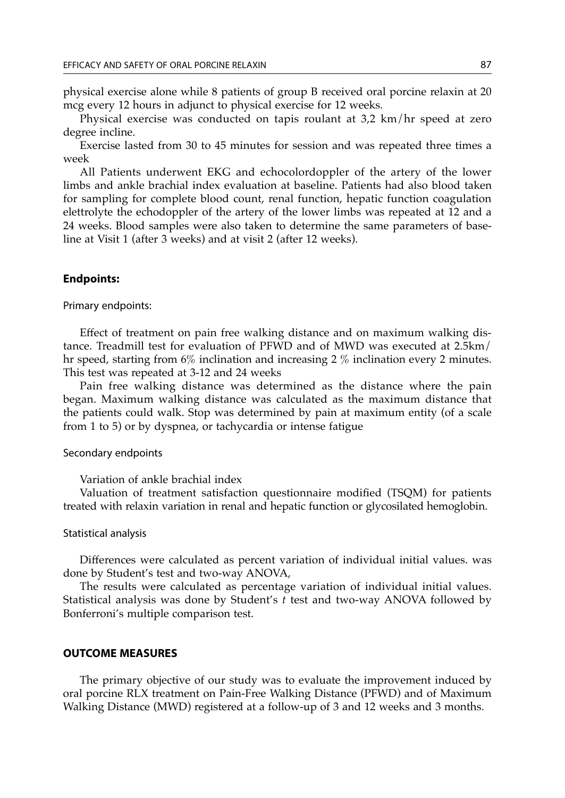physical exercise alone while 8 patients of group B received oral porcine relaxin at 20 mcg every 12 hours in adjunct to physical exercise for 12 weeks.

Physical exercise was conducted on tapis roulant at 3,2 km/hr speed at zero degree incline.

Exercise lasted from 30 to 45 minutes for session and was repeated three times a week

All Patients underwent EKG and echocolordoppler of the artery of the lower limbs and ankle brachial index evaluation at baseline. Patients had also blood taken for sampling for complete blood count, renal function, hepatic function coagulation elettrolyte the echodoppler of the artery of the lower limbs was repeated at 12 and a 24 weeks. Blood samples were also taken to determine the same parameters of baseline at Visit 1 (after 3 weeks) and at visit 2 (after 12 weeks).

#### **Endpoints:**

Primary endpoints:

Effect of treatment on pain free walking distance and on maximum walking distance. Treadmill test for evaluation of PFWD and of MWD was executed at 2.5km/ hr speed, starting from 6% inclination and increasing 2 % inclination every 2 minutes. This test was repeated at 3-12 and 24 weeks

Pain free walking distance was determined as the distance where the pain began. Maximum walking distance was calculated as the maximum distance that the patients could walk. Stop was determined by pain at maximum entity (of a scale from 1 to 5) or by dyspnea, or tachycardia or intense fatigue

#### Secondary endpoints

Variation of ankle brachial index

Valuation of treatment satisfaction questionnaire modified (TSQM) for patients treated with relaxin variation in renal and hepatic function or glycosilated hemoglobin.

#### Statistical analysis

Differences were calculated as percent variation of individual initial values. was done by Student's test and two-way ANOVA,

The results were calculated as percentage variation of individual initial values. Statistical analysis was done by Student's *t* test and two-way ANOVA followed by Bonferroni's multiple comparison test.

# **OUTCOME MEASURES**

The primary objective of our study was to evaluate the improvement induced by oral porcine RLX treatment on Pain-Free Walking Distance (PFWD) and of Maximum Walking Distance (MWD) registered at a follow-up of 3 and 12 weeks and 3 months.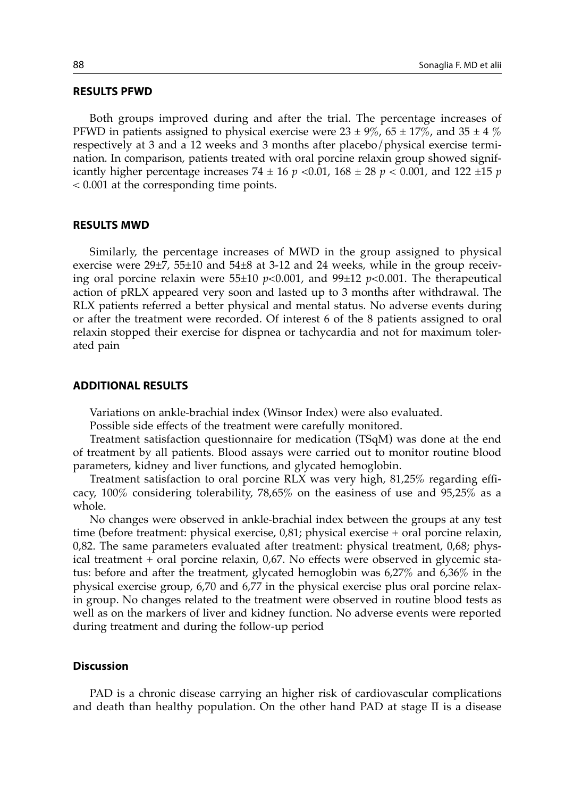#### **RESULTS PFWD**

Both groups improved during and after the trial. The percentage increases of PFWD in patients assigned to physical exercise were  $23 \pm 9\%$ ,  $65 \pm 17\%$ , and  $35 \pm 4\%$ respectively at 3 and a 12 weeks and 3 months after placebo/physical exercise termination. In comparison, patients treated with oral porcine relaxin group showed significantly higher percentage increases 74  $\pm$  16  $p$  <0.01, 168  $\pm$  28  $p$  < 0.001, and 122  $\pm$ 15  $p$ < 0.001 at the corresponding time points.

#### **RESULTS MWD**

Similarly, the percentage increases of MWD in the group assigned to physical exercise were  $29\pm7$ ,  $55\pm10$  and  $54\pm8$  at 3-12 and 24 weeks, while in the group receiving oral porcine relaxin were 55±10 *p*<0.001, and 99±12 *p*<0.001. The therapeutical action of pRLX appeared very soon and lasted up to 3 months after withdrawal. The RLX patients referred a better physical and mental status. No adverse events during or after the treatment were recorded. Of interest 6 of the 8 patients assigned to oral relaxin stopped their exercise for dispnea or tachycardia and not for maximum tolerated pain

#### **ADDITIONAL RESULTS**

Variations on ankle-brachial index (Winsor Index) were also evaluated.

Possible side effects of the treatment were carefully monitored.

Treatment satisfaction questionnaire for medication (TSqM) was done at the end of treatment by all patients. Blood assays were carried out to monitor routine blood parameters, kidney and liver functions, and glycated hemoglobin.

Treatment satisfaction to oral porcine RLX was very high, 81,25% regarding efficacy, 100% considering tolerability, 78,65% on the easiness of use and 95,25% as a whole.

No changes were observed in ankle-brachial index between the groups at any test time (before treatment: physical exercise, 0,81; physical exercise + oral porcine relaxin, 0,82. The same parameters evaluated after treatment: physical treatment, 0,68; physical treatment + oral porcine relaxin, 0,67. No effects were observed in glycemic status: before and after the treatment, glycated hemoglobin was 6,27% and 6,36% in the physical exercise group, 6,70 and 6,77 in the physical exercise plus oral porcine relaxin group. No changes related to the treatment were observed in routine blood tests as well as on the markers of liver and kidney function. No adverse events were reported during treatment and during the follow-up period

# **Discussion**

PAD is a chronic disease carrying an higher risk of cardiovascular complications and death than healthy population. On the other hand PAD at stage II is a disease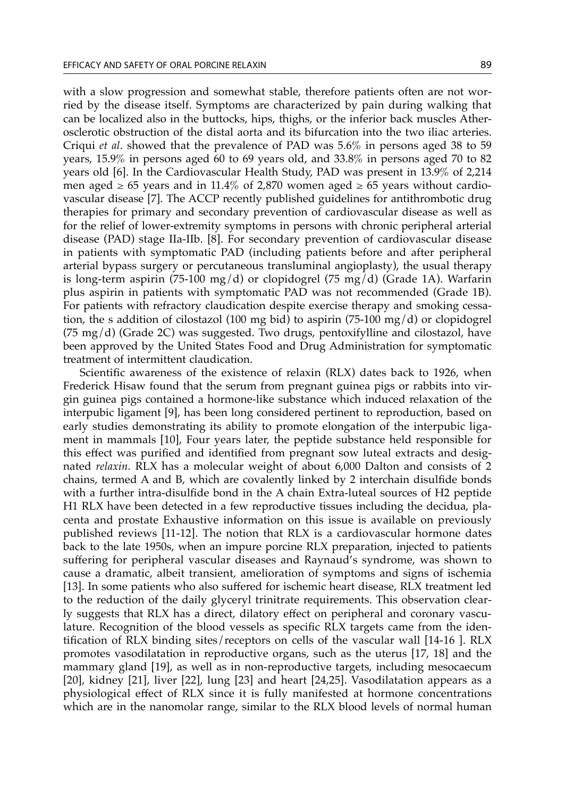with a slow progression and somewhat stable, therefore patients often are not worried by the disease itself. Symptoms are characterized by pain during walking that can be localized also in the buttocks, hips, thighs, or the inferior back muscles Atherosclerotic obstruction of the distal aorta and its bifurcation into the two iliac arteries. Criqui *et al*. showed that the prevalence of PAD was 5.6% in persons aged 38 to 59 years, 15.9% in persons aged 60 to 69 years old, and 33.8% in persons aged 70 to 82 years old [6]. In the Cardiovascular Health Study, PAD was present in 13.9% of 2,214 men aged  $\geq 65$  years and in 11.4% of 2,870 women aged  $\geq 65$  years without cardiovascular disease [7]. The ACCP recently published guidelines for antithrombotic drug therapies for primary and secondary prevention of cardiovascular disease as well as for the relief of lower-extremity symptoms in persons with chronic peripheral arterial disease (PAD) stage IIa-IIb. [8]. For secondary prevention of cardiovascular disease in patients with symptomatic PAD (including patients before and after peripheral arterial bypass surgery or percutaneous transluminal angioplasty), the usual therapy is long-term aspirin (75-100 mg/d) or clopidogrel (75 mg/d) (Grade 1A). Warfarin plus aspirin in patients with symptomatic PAD was not recommended (Grade 1B). For patients with refractory claudication despite exercise therapy and smoking cessation, the s addition of cilostazol (100 mg bid) to aspirin (75-100 mg/d) or clopidogrel (75 mg/d) (Grade 2C) was suggested. Two drugs, pentoxifylline and cilostazol, have been approved by the United States Food and Drug Administration for symptomatic treatment of intermittent claudication.

Scientific awareness of the existence of relaxin (RLX) dates back to 1926, when Frederick Hisaw found that the serum from pregnant guinea pigs or rabbits into virgin guinea pigs contained a hormone-like substance which induced relaxation of the interpubic ligament [9], has been long considered pertinent to reproduction, based on early studies demonstrating its ability to promote elongation of the interpubic ligament in mammals [10], Four years later, the peptide substance held responsible for this effect was purified and identified from pregnant sow luteal extracts and designated *relaxin.* RLX has a molecular weight of about 6,000 Dalton and consists of 2 chains, termed A and B, which are covalently linked by 2 interchain disulfide bonds with a further intra-disulfide bond in the A chain Extra-luteal sources of H2 peptide H1 RLX have been detected in a few reproductive tissues including the decidua, placenta and prostate Exhaustive information on this issue is available on previously published reviews [11-12]. The notion that RLX is a cardiovascular hormone dates back to the late 1950s, when an impure porcine RLX preparation, injected to patients suffering for peripheral vascular diseases and Raynaud's syndrome, was shown to cause a dramatic, albeit transient, amelioration of symptoms and signs of ischemia [13]. In some patients who also suffered for ischemic heart disease, RLX treatment led to the reduction of the daily glyceryl trinitrate requirements. This observation clearly suggests that RLX has a direct, dilatory effect on peripheral and coronary vasculature. Recognition of the blood vessels as specific RLX targets came from the identification of RLX binding sites/receptors on cells of the vascular wall [14-16 ]. RLX promotes vasodilatation in reproductive organs, such as the uterus [17, 18] and the mammary gland [19], as well as in non-reproductive targets, including mesocaecum [20], kidney [21], liver [22], lung [23] and heart [24,25]. Vasodilatation appears as a physiological effect of RLX since it is fully manifested at hormone concentrations which are in the nanomolar range, similar to the RLX blood levels of normal human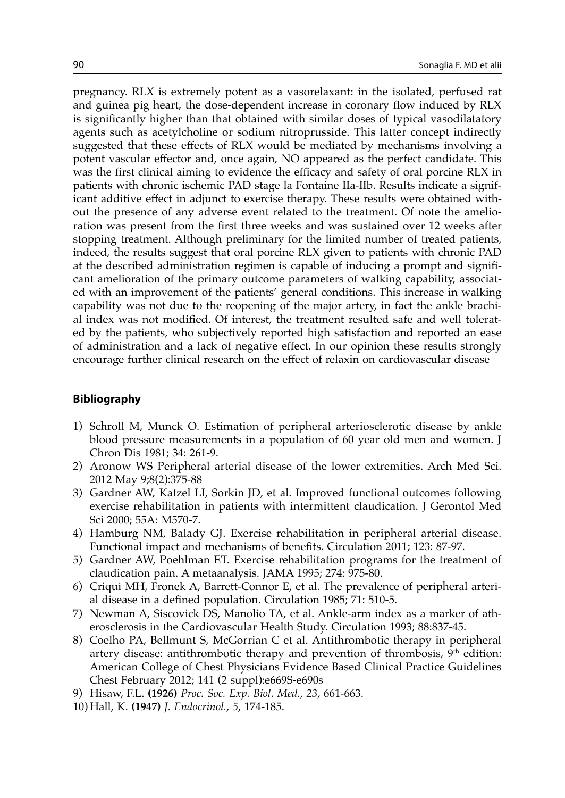pregnancy. RLX is extremely potent as a vasorelaxant: in the isolated, perfused rat and guinea pig heart, the dose-dependent increase in coronary flow induced by RLX is significantly higher than that obtained with similar doses of typical vasodilatatory agents such as acetylcholine or sodium nitroprusside. This latter concept indirectly suggested that these effects of RLX would be mediated by mechanisms involving a potent vascular effector and, once again, NO appeared as the perfect candidate. This was the first clinical aiming to evidence the efficacy and safety of oral porcine RLX in patients with chronic ischemic PAD stage la Fontaine IIa-IIb. Results indicate a significant additive effect in adjunct to exercise therapy. These results were obtained without the presence of any adverse event related to the treatment. Of note the amelioration was present from the first three weeks and was sustained over 12 weeks after stopping treatment. Although preliminary for the limited number of treated patients, indeed, the results suggest that oral porcine RLX given to patients with chronic PAD at the described administration regimen is capable of inducing a prompt and significant amelioration of the primary outcome parameters of walking capability, associated with an improvement of the patients' general conditions. This increase in walking capability was not due to the reopening of the major artery, in fact the ankle brachial index was not modified. Of interest, the treatment resulted safe and well tolerated by the patients, who subjectively reported high satisfaction and reported an ease of administration and a lack of negative effect. In our opinion these results strongly encourage further clinical research on the effect of relaxin on cardiovascular disease

# **Bibliography**

- 1) Schroll M, Munck O. Estimation of peripheral arteriosclerotic disease by ankle blood pressure measurements in a population of 60 year old men and women. J Chron Dis 1981; 34: 261-9.
- 2) Aronow WS Peripheral arterial disease of the lower extremities. Arch Med Sci. 2012 May 9;8(2):375-88
- 3) Gardner AW, Katzel LI, Sorkin JD, et al. Improved functional outcomes following exercise rehabilitation in patients with intermittent claudication. J Gerontol Med Sci 2000; 55A: M570-7.
- 4) Hamburg NM, Balady GJ. Exercise rehabilitation in peripheral arterial disease. Functional impact and mechanisms of benefits. Circulation 2011; 123: 87-97.
- 5) Gardner AW, Poehlman ET. Exercise rehabilitation programs for the treatment of claudication pain. A metaanalysis. JAMA 1995; 274: 975-80.
- 6) Criqui MH, Fronek A, Barrett-Connor E, et al. The prevalence of peripheral arterial disease in a defined population. Circulation 1985; 71: 510-5.
- 7) Newman A, Siscovick DS, Manolio TA, et al. Ankle-arm index as a marker of atherosclerosis in the Cardiovascular Health Study. Circulation 1993; 88:837-45.
- 8) Coelho PA, Bellmunt S, McGorrian C et al. Antithrombotic therapy in peripheral artery disease: antithrombotic therapy and prevention of thrombosis,  $9<sup>th</sup>$  edition: American College of Chest Physicians Evidence Based Clinical Practice Guidelines Chest February 2012; 141 (2 suppl):e669S-e690s
- 9) Hisaw, F.L. **(1926)** *Proc. Soc. Exp. Biol. Med., 23*, 661-663.
- 10) Hall, K. **(1947)** *J. Endocrinol., 5*, 174-185.